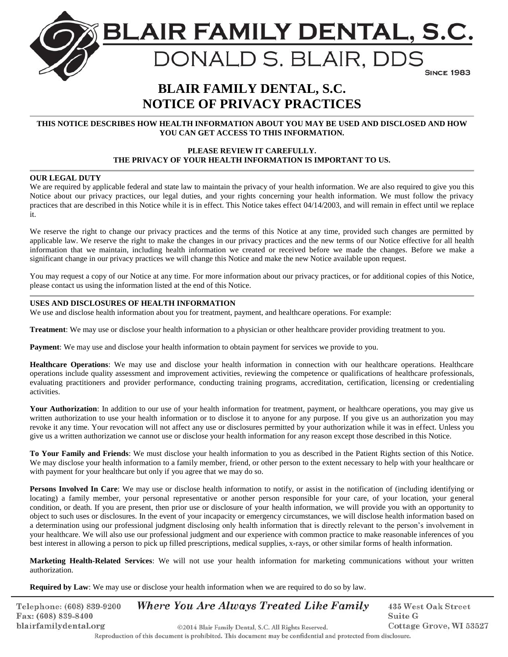**BLAIR FAMILY DENTAL, S.C.** 

DONALD S. BLAIR, DDS

**SINCE 1983** 

# **BLAIR FAMILY DENTAL, S.C. NOTICE OF PRIVACY PRACTICES**

# **THIS NOTICE DESCRIBES HOW HEALTH INFORMATION ABOUT YOU MAY BE USED AND DISCLOSED AND HOW YOU CAN GET ACCESS TO THIS INFORMATION.**

#### **PLEASE REVIEW IT CAREFULLY. THE PRIVACY OF YOUR HEALTH INFORMATION IS IMPORTANT TO US.**

## **OUR LEGAL DUTY**

We are required by applicable federal and state law to maintain the privacy of your health information. We are also required to give you this Notice about our privacy practices, our legal duties, and your rights concerning your health information. We must follow the privacy practices that are described in this Notice while it is in effect. This Notice takes effect 04/14/2003, and will remain in effect until we replace it.

We reserve the right to change our privacy practices and the terms of this Notice at any time, provided such changes are permitted by applicable law. We reserve the right to make the changes in our privacy practices and the new terms of our Notice effective for all health information that we maintain, including health information we created or received before we made the changes. Before we make a significant change in our privacy practices we will change this Notice and make the new Notice available upon request.

You may request a copy of our Notice at any time. For more information about our privacy practices, or for additional copies of this Notice, please contact us using the information listed at the end of this Notice.

# **USES AND DISCLOSURES OF HEALTH INFORMATION**

We use and disclose health information about you for treatment, payment, and healthcare operations. For example:

**Treatment**: We may use or disclose your health information to a physician or other healthcare provider providing treatment to you.

**Payment**: We may use and disclose your health information to obtain payment for services we provide to you.

**Healthcare Operations**: We may use and disclose your health information in connection with our healthcare operations. Healthcare operations include quality assessment and improvement activities, reviewing the competence or qualifications of healthcare professionals, evaluating practitioners and provider performance, conducting training programs, accreditation, certification, licensing or credentialing activities.

Your Authorization: In addition to our use of your health information for treatment, payment, or healthcare operations, you may give us written authorization to use your health information or to disclose it to anyone for any purpose. If you give us an authorization you may revoke it any time. Your revocation will not affect any use or disclosures permitted by your authorization while it was in effect. Unless you give us a written authorization we cannot use or disclose your health information for any reason except those described in this Notice.

**To Your Family and Friends**: We must disclose your health information to you as described in the Patient Rights section of this Notice. We may disclose your health information to a family member, friend, or other person to the extent necessary to help with your healthcare or with payment for your healthcare but only if you agree that we may do so.

**Persons Involved In Care**: We may use or disclose health information to notify, or assist in the notification of (including identifying or locating) a family member, your personal representative or another person responsible for your care, of your location, your general condition, or death. If you are present, then prior use or disclosure of your health information, we will provide you with an opportunity to object to such uses or disclosures. In the event of your incapacity or emergency circumstances, we will disclose health information based on a determination using our professional judgment disclosing only health information that is directly relevant to the person's involvement in your healthcare. We will also use our professional judgment and our experience with common practice to make reasonable inferences of you best interest in allowing a person to pick up filled prescriptions, medical supplies, x-rays, or other similar forms of health information.

**Marketing Health-Related Services**: We will not use your health information for marketing communications without your written authorization.

**Required by Law**: We may use or disclose your health information when we are required to do so by law.

**Where You Are Always Treated Like Family** Telephone: (608) 839-9200 **435 West Oak Street** Fax: (608) 839-8400 Suite G blairfamilydental.org Cottage Grove, WI 53527 ©2014 Blair Family Dental, S.C. All Rights Reserved. Reproduction of this document is prohibited. This document may be confidential and protected from disclosure.